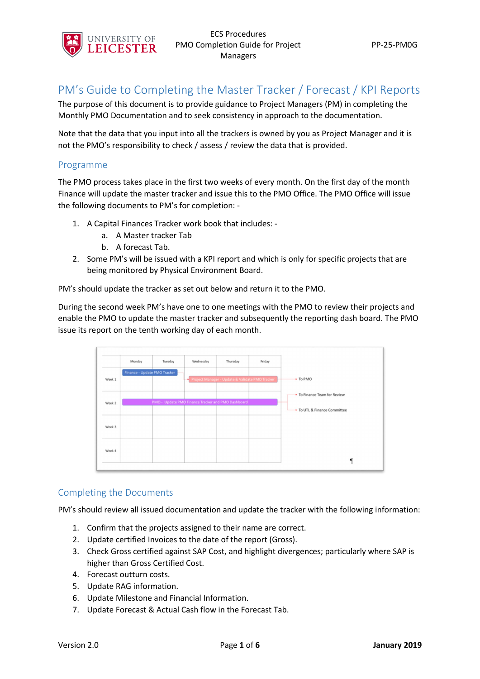

# PM's Guide to Completing the Master Tracker / Forecast / KPI Reports

The purpose of this document is to provide guidance to Project Managers (PM) in completing the Monthly PMO Documentation and to seek consistency in approach to the documentation.

Note that the data that you input into all the trackers is owned by you as Project Manager and it is not the PMO's responsibility to check / assess / review the data that is provided.

### Programme

The PMO process takes place in the first two weeks of every month. On the first day of the month Finance will update the master tracker and issue this to the PMO Office. The PMO Office will issue the following documents to PM's for completion: -

- 1. A Capital Finances Tracker work book that includes:
	- a. A Master tracker Tab
	- b. A forecast Tab.
- 2. Some PM's will be issued with a KPI report and which is only for specific projects that are being monitored by Physical Environment Board.

PM's should update the tracker as set out below and return it to the PMO.

During the second week PM's have one to one meetings with the PMO to review their projects and enable the PMO to update the master tracker and subsequently the reporting dash board. The PMO issue its report on the tenth working day of each month.



### Completing the Documents

PM's should review all issued documentation and update the tracker with the following information:

- 1. Confirm that the projects assigned to their name are correct.
- 2. Update certified Invoices to the date of the report (Gross).
- 3. Check Gross certified against SAP Cost, and highlight divergences; particularly where SAP is higher than Gross Certified Cost.
- 4. Forecast outturn costs.
- 5. Update RAG information.
- 6. Update Milestone and Financial Information.
- 7. Update Forecast & Actual Cash flow in the Forecast Tab.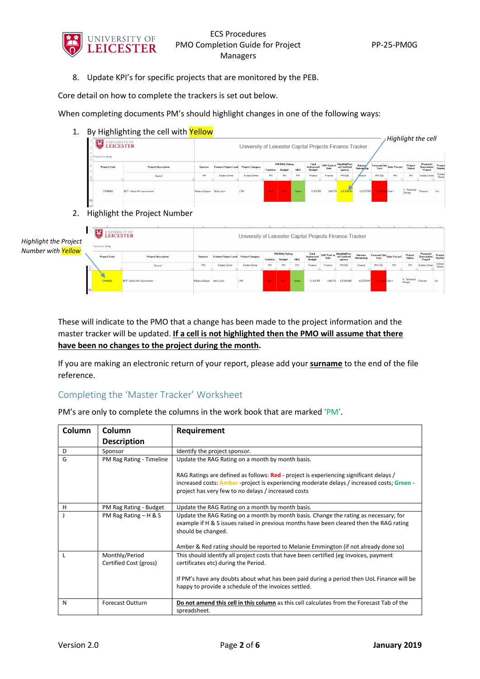

8. Update KPI's for specific projects that are monitored by the PEB.

Core detail on how to complete the trackers is set out below.

When completing documents PM's should highlight changes in one of the following ways:

1. By Highlighting the cell with Yellow

| 学習<br>UNIVERSITY OF LEICESTER<br>Prepared by Arup | DY FIRTING LITE CEN WILL <b>TEILUW</b> | Highlight the cell.<br>University of Leicester Capital Projects Finance Tracker |                             |                         |            |                                |                |                               |                            |                                         |                                    |                                   |    |                                |                                     |                    |
|---------------------------------------------------|----------------------------------------|---------------------------------------------------------------------------------|-----------------------------|-------------------------|------------|--------------------------------|----------------|-------------------------------|----------------------------|-----------------------------------------|------------------------------------|-----------------------------------|----|--------------------------------|-------------------------------------|--------------------|
| <b>Project Code</b>                               | <b>Project Description</b>             | Sponsor                                                                         | <b>Estates Project Lead</b> | <b>Project Category</b> | Timeline   | <b>PM RAG Rating</b><br>Budget | <b>H&amp;S</b> | Total<br>Authorised<br>Budget | <b>SAP Cost to</b><br>Date | MonthlufPeri<br>od Certified<br>(gross) | <b>Balance</b><br><b>Remaining</b> | Forecast Dut Gate Passed<br>Turn. |    | Project<br><b>Status</b>       | Planned /<br>Speculative<br>Project | Project<br>Started |
|                                                   | Source <sup>1</sup>                    | PM.                                                                             | Estates Ovener              | Estates Divner          | PM.        | <b>PM</b>                      | <b>PM</b>      | Finance                       | Finance                    | PM/QS                                   | Emance                             | PM/GS                             | PM | PM                             | Estates Owner                       | Estates<br>Owner   |
| EM160002                                          | BCP - Adrian HV improvement            | Rebecca Draper                                                                  | Neil Loxton                 | I TM                    | <b>Red</b> | <b>Red</b>                     | Green          | £1631959                      | £410,774                   | 225,000,000                             | $-£23,778.815$                     | E2.148.094 Gate 1                 |    | 4 : Technical<br><b>Design</b> | Planned                             | Yes                |
|                                                   |                                        |                                                                                 |                             |                         |            |                                |                |                               |                            |                                         |                                    |                                   |    |                                |                                     |                    |

2. Highlight the Project Number

*High Number with Yellow*

| light the Project<br>ber with <mark>Yellow</mark> | $\ddot{\ddot{\delta}}$<br><b>LEICESTER</b><br>Prepared by Arup |                             |                | University of Leicester Capital Projects Finance Tracker |               |          |                         |                |                               |                            |                                         |                      |                   |                          |                          | the contract of the con-            |                    |
|---------------------------------------------------|----------------------------------------------------------------|-----------------------------|----------------|----------------------------------------------------------|---------------|----------|-------------------------|----------------|-------------------------------|----------------------------|-----------------------------------------|----------------------|-------------------|--------------------------|--------------------------|-------------------------------------|--------------------|
|                                                   | <b>Project Code</b>                                            | <b>Project Description</b>  | <b>Sponsor</b> | Estates Project Lead Project Category                    |               | Timeline | PM RAG Rating<br>Budget | <b>H&amp;S</b> | Total<br>Authorized<br>Budget | <b>SAP Cost to</b><br>Date | Monthly/Peri<br>od Certified<br>(gross) | Balance<br>Remaining | Turn              | Forecast Dut Gate Passed | Project<br><b>Status</b> | Planned /<br>Speculative<br>Project | Project<br>Started |
|                                                   |                                                                | Source <sup>1</sup>         | <b>PM</b>      | Estates Owner                                            | Estates Owner | PM       | <b>PM</b>               | PM             | Finance                       | Finance                    | PMI OS                                  | Finance              | <b>PM/GS</b>      | <b>PM</b>                | <b>PM</b>                | Estates Owner                       | Estates<br>Owner   |
|                                                   | EM190002                                                       | BCP - Adrian HV improvement | Rebecca Draper | Neil Loxton                                              | LTM           | Red.     | Red:                    | Green          | £1631959                      | £410,774                   | £25,000,000                             | $-4.23,778,875$      | 12.148.094 Gale 1 |                          | 4: Technical<br>Design   | Planned                             | Yes                |

These will indicate to the PMO that a change has been made to the project information and the master tracker will be updated. **If a cell is not highlighted then the PMO will assume that there have been no changes to the project during the month.**

If you are making an electronic return of your report, please add your **surname** to the end of the file reference.

### Completing the 'Master Tracker' Worksheet

| Column | Column                                   | Requirement                                                                                                                                                                                                                                                                        |
|--------|------------------------------------------|------------------------------------------------------------------------------------------------------------------------------------------------------------------------------------------------------------------------------------------------------------------------------------|
|        | <b>Description</b>                       |                                                                                                                                                                                                                                                                                    |
| D      | Sponsor                                  | Identify the project sponsor.                                                                                                                                                                                                                                                      |
| G      | PM Rag Rating - Timeline                 | Update the RAG Rating on a month by month basis.                                                                                                                                                                                                                                   |
|        |                                          | RAG Ratings are defined as follows: Red - project is experiencing significant delays /<br>increased costs: <b>Amber</b> -project is experiencing moderate delays / increased costs; Green -<br>project has very few to no delays / increased costs                                 |
| н      | PM Rag Rating - Budget                   | Update the RAG Rating on a month by month basis.                                                                                                                                                                                                                                   |
|        | PM Rag Rating - H & S                    | Update the RAG Rating on a month by month basis. Change the rating as necessary; for<br>example if H & S issues raised in previous months have been cleared then the RAG rating<br>should be changed.                                                                              |
|        |                                          | Amber & Red rating should be reported to Melanie Emmington (if not already done so)                                                                                                                                                                                                |
|        | Monthly/Period<br>Certified Cost (gross) | This should identify all project costs that have been certified (eg invoices, payment<br>certificates etc) during the Period.<br>If PM's have any doubts about what has been paid during a period then UoL Finance will be<br>happy to provide a schedule of the invoices settled. |
|        |                                          |                                                                                                                                                                                                                                                                                    |
| N      | <b>Forecast Outturn</b>                  | Do not amend this cell in this column as this cell calculates from the Forecast Tab of the<br>spreadsheet.                                                                                                                                                                         |

PM's are only to complete the columns in the work book that are marked 'PM'.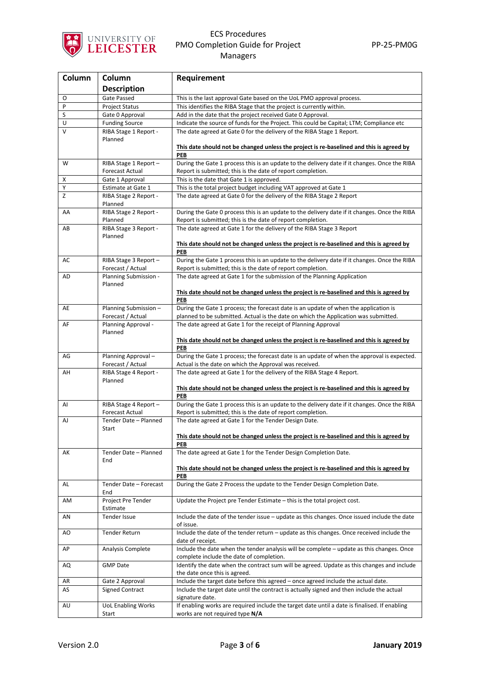

| Column | Column                                         | Requirement                                                                                                                                                                 |
|--------|------------------------------------------------|-----------------------------------------------------------------------------------------------------------------------------------------------------------------------------|
|        | <b>Description</b>                             |                                                                                                                                                                             |
| O      | Gate Passed                                    | This is the last approval Gate based on the UoL PMO approval process.                                                                                                       |
| P      | <b>Project Status</b>                          | This identifies the RIBA Stage that the project is currently within.                                                                                                        |
| S      | Gate 0 Approval                                | Add in the date that the project received Gate 0 Approval.                                                                                                                  |
| U      | <b>Funding Source</b>                          | Indicate the source of funds for the Project. This could be Capital; LTM; Compliance etc                                                                                    |
| V      | RIBA Stage 1 Report -<br>Planned               | The date agreed at Gate 0 for the delivery of the RIBA Stage 1 Report.                                                                                                      |
|        |                                                | This date should not be changed unless the project is re-baselined and this is agreed by<br>PEB                                                                             |
| W      | RIBA Stage 1 Report-                           | During the Gate 1 process this is an update to the delivery date if it changes. Once the RIBA                                                                               |
|        | <b>Forecast Actual</b>                         | Report is submitted; this is the date of report completion.                                                                                                                 |
| х      | Gate 1 Approval                                | This is the date that Gate 1 is approved.                                                                                                                                   |
| Υ      | Estimate at Gate 1                             | This is the total project budget including VAT approved at Gate 1                                                                                                           |
| Z      | RIBA Stage 2 Report -<br>Planned               | The date agreed at Gate 0 for the delivery of the RIBA Stage 2 Report                                                                                                       |
| AA     | RIBA Stage 2 Report -<br>Planned               | During the Gate 0 process this is an update to the delivery date if it changes. Once the RIBA<br>Report is submitted; this is the date of report completion.                |
| AB     | RIBA Stage 3 Report -<br>Planned               | The date agreed at Gate 1 for the delivery of the RIBA Stage 3 Report                                                                                                       |
|        |                                                | This date should not be changed unless the project is re-baselined and this is agreed by<br>PEB                                                                             |
| AC     | RIBA Stage 3 Report-<br>Forecast / Actual      | During the Gate 1 process this is an update to the delivery date if it changes. Once the RIBA<br>Report is submitted; this is the date of report completion.                |
| AD     | Planning Submission -<br>Planned               | The date agreed at Gate 1 for the submission of the Planning Application                                                                                                    |
|        |                                                | This date should not be changed unless the project is re-baselined and this is agreed by<br>PEB                                                                             |
| AE     | Planning Submission-<br>Forecast / Actual      | During the Gate 1 process; the forecast date is an update of when the application is<br>planned to be submitted. Actual is the date on which the Application was submitted. |
| AF     | Planning Approval -                            | The date agreed at Gate 1 for the receipt of Planning Approval                                                                                                              |
|        | Planned                                        | This date should not be changed unless the project is re-baselined and this is agreed by                                                                                    |
| AG     | Planning Approval-                             | PEB<br>During the Gate 1 process; the forecast date is an update of when the approval is expected.                                                                          |
|        | Forecast / Actual                              | Actual is the date on which the Approval was received.                                                                                                                      |
| AН     | RIBA Stage 4 Report -<br>Planned               | The date agreed at Gate 1 for the delivery of the RIBA Stage 4 Report.                                                                                                      |
|        |                                                | This date should not be changed unless the project is re-baselined and this is agreed by<br>PEB                                                                             |
| AI     | RIBA Stage 4 Report-<br><b>Forecast Actual</b> | During the Gate 1 process this is an update to the delivery date if it changes. Once the RIBA<br>Report is submitted; this is the date of report completion.                |
| AJ     | Tender Date - Planned<br>Start                 | The date agreed at Gate 1 for the Tender Design Date.                                                                                                                       |
|        |                                                | This date should not be changed unless the project is re-baselined and this is agreed by                                                                                    |
|        |                                                | PEB                                                                                                                                                                         |
| АK     | Tender Date - Planned<br>End                   | The date agreed at Gate 1 for the Tender Design Completion Date.                                                                                                            |
|        |                                                | This date should not be changed unless the project is re-baselined and this is agreed by<br>PEB                                                                             |
| AL     | Tender Date - Forecast<br>End                  | During the Gate 2 Process the update to the Tender Design Completion Date.                                                                                                  |
| AM     | Project Pre Tender<br>Estimate                 | Update the Project pre Tender Estimate - this is the total project cost.                                                                                                    |
| AN     | Tender Issue                                   | Include the date of the tender issue – update as this changes. Once issued include the date<br>of issue.                                                                    |
| AO     | <b>Tender Return</b>                           | Include the date of the tender return - update as this changes. Once received include the<br>date of receipt.                                                               |
| АP     | Analysis Complete                              | Include the date when the tender analysis will be complete - update as this changes. Once<br>complete include the date of completion.                                       |
| AQ     | <b>GMP Date</b>                                | Identify the date when the contract sum will be agreed. Update as this changes and include<br>the date once this is agreed.                                                 |
| AR     | Gate 2 Approval                                | Include the target date before this agreed - once agreed include the actual date.                                                                                           |
| AS     | <b>Signed Contract</b>                         | Include the target date until the contract is actually signed and then include the actual<br>signature date.                                                                |
| AU     | <b>UoL Enabling Works</b><br>Start             | If enabling works are required include the target date until a date is finalised. If enabling<br>works are not required type N/A                                            |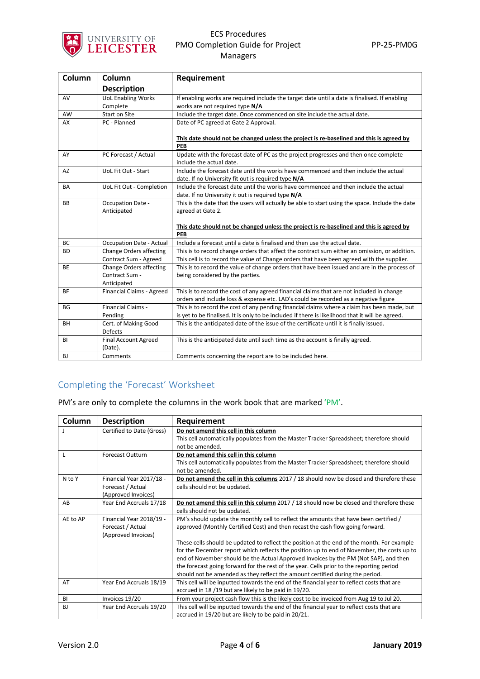

| Column    | Column                                 | Requirement                                                                                                                                                                      |
|-----------|----------------------------------------|----------------------------------------------------------------------------------------------------------------------------------------------------------------------------------|
|           | <b>Description</b>                     |                                                                                                                                                                                  |
| AV        | <b>UoL Enabling Works</b>              | If enabling works are required include the target date until a date is finalised. If enabling                                                                                    |
|           | Complete                               | works are not required type N/A                                                                                                                                                  |
| AW        | Start on Site                          | Include the target date. Once commenced on site include the actual date.                                                                                                         |
| AX        | PC - Planned                           | Date of PC agreed at Gate 2 Approval.                                                                                                                                            |
|           |                                        | This date should not be changed unless the project is re-baselined and this is agreed by<br><b>PEB</b>                                                                           |
| AY        | PC Forecast / Actual                   | Update with the forecast date of PC as the project progresses and then once complete<br>include the actual date.                                                                 |
| <b>AZ</b> | UoL Fit Out - Start                    | Include the forecast date until the works have commenced and then include the actual<br>date. If no University fit out is required type N/A                                      |
| <b>BA</b> | UoL Fit Out - Completion               | Include the forecast date until the works have commenced and then include the actual<br>date. If no University it out is required type N/A                                       |
| <b>BB</b> | Occupation Date -<br>Anticipated       | This is the date that the users will actually be able to start using the space. Include the date<br>agreed at Gate 2.                                                            |
|           |                                        | This date should not be changed unless the project is re-baselined and this is agreed by<br><b>PEB</b>                                                                           |
| BC        | <b>Occupation Date - Actual</b>        | Include a forecast until a date is finalised and then use the actual date.                                                                                                       |
| <b>BD</b> | <b>Change Orders affecting</b>         | This is to record change orders that affect the contract sum either an omission, or addition.                                                                                    |
|           | Contract Sum - Agreed                  | This cell is to record the value of Change orders that have been agreed with the supplier.                                                                                       |
| <b>BE</b> | Change Orders affecting                | This is to record the value of change orders that have been issued and are in the process of                                                                                     |
|           | Contract Sum -<br>Anticipated          | being considered by the parties.                                                                                                                                                 |
| <b>BF</b> | Financial Claims - Agreed              | This is to record the cost of any agreed financial claims that are not included in change<br>orders and include loss & expense etc. LAD's could be recorded as a negative figure |
| <b>BG</b> | <b>Financial Claims -</b>              | This is to record the cost of any pending financial claims where a claim has been made, but                                                                                      |
|           | Pending                                | is yet to be finalised. It is only to be included if there is likelihood that it will be agreed.                                                                                 |
| <b>BH</b> | Cert. of Making Good<br><b>Defects</b> | This is the anticipated date of the issue of the certificate until it is finally issued.                                                                                         |
| <b>BI</b> | <b>Final Account Agreed</b><br>(Date). | This is the anticipated date until such time as the account is finally agreed.                                                                                                   |
| <b>BJ</b> | Comments                               | Comments concerning the report are to be included here.                                                                                                                          |

# Completing the 'Forecast' Worksheet

PM's are only to complete the columns in the work book that are marked 'PM'.

| Column    | <b>Description</b>                                                   | Requirement                                                                                                                                                                                                                                                                                                                                                                                                                                                   |
|-----------|----------------------------------------------------------------------|---------------------------------------------------------------------------------------------------------------------------------------------------------------------------------------------------------------------------------------------------------------------------------------------------------------------------------------------------------------------------------------------------------------------------------------------------------------|
|           | Certified to Date (Gross)                                            | Do not amend this cell in this column<br>This cell automatically populates from the Master Tracker Spreadsheet; therefore should<br>not be amended.                                                                                                                                                                                                                                                                                                           |
| L         | <b>Forecast Outturn</b>                                              | Do not amend this cell in this column<br>This cell automatically populates from the Master Tracker Spreadsheet; therefore should<br>not be amended.                                                                                                                                                                                                                                                                                                           |
| N to Y    | Financial Year 2017/18 -<br>Forecast / Actual<br>(Approved Invoices) | Do not amend the cell in this columns 2017 / 18 should now be closed and therefore these<br>cells should not be updated.                                                                                                                                                                                                                                                                                                                                      |
| AB        | Year End Accruals 17/18                                              | Do not amend this cell in this column 2017 / 18 should now be closed and therefore these<br>cells should not be updated.                                                                                                                                                                                                                                                                                                                                      |
| AE to AP  | Financial Year 2018/19 -<br>Forecast / Actual<br>(Approved Invoices) | PM's should update the monthly cell to reflect the amounts that have been certified /<br>approved (Monthly Certified Cost) and then recast the cash flow going forward.                                                                                                                                                                                                                                                                                       |
|           |                                                                      | These cells should be updated to reflect the position at the end of the month. For example<br>for the December report which reflects the position up to end of November, the costs up to<br>end of November should be the Actual Approved Invoices by the PM (Not SAP), and then<br>the forecast going forward for the rest of the year. Cells prior to the reporting period<br>should not be amended as they reflect the amount certified during the period. |
| AT        | Year End Accruals 18/19                                              | This cell will be inputted towards the end of the financial year to reflect costs that are<br>accrued in 18/19 but are likely to be paid in 19/20.                                                                                                                                                                                                                                                                                                            |
| BI        | Invoices 19/20                                                       | From your project cash flow this is the likely cost to be invoiced from Aug 19 to Jul 20.                                                                                                                                                                                                                                                                                                                                                                     |
| <b>BJ</b> | Year End Accruals 19/20                                              | This cell will be inputted towards the end of the financial year to reflect costs that are<br>accrued in 19/20 but are likely to be paid in 20/21.                                                                                                                                                                                                                                                                                                            |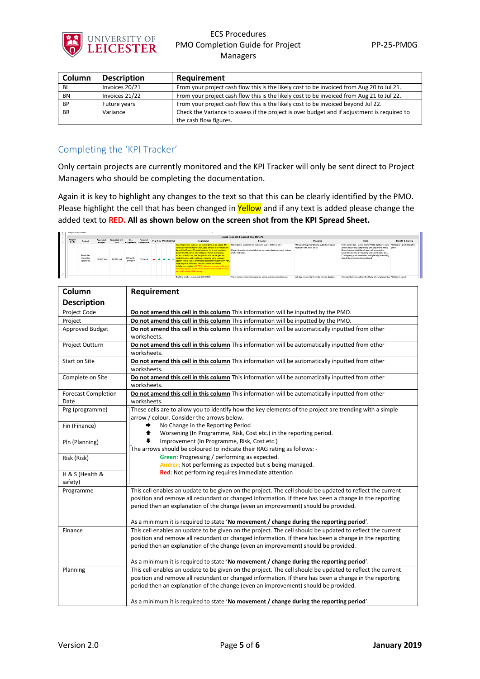

| Column    | <b>Description</b> | Requirement                                                                                 |
|-----------|--------------------|---------------------------------------------------------------------------------------------|
| <b>BL</b> | Invoices 20/21     | From your project cash flow this is the likely cost to be invoiced from Aug 20 to Jul 21.   |
| <b>BN</b> | Invoices 21/22     | From your project cash flow this is the likely cost to be invoiced from Aug 21 to Jul 22.   |
| <b>BP</b> | Future years       | From your project cash flow this is the likely cost to be invoiced beyond Jul 22.           |
| <b>BR</b> | Variance           | Check the Variance to assess if the project is over budget and if adjustment is required to |
|           |                    | the cash flow figures.                                                                      |

## Completing the 'KPI Tracker'

Only certain projects are currently monitored and the KPI Tracker will only be sent direct to Project Managers who should be completing the documentation.

Again it is key to highlight any changes to the text so that this can be clearly identified by the PMO. Please highlight the cell that has been changed in Yellow and if any text is added please change the added text to **RED. All as shown below on the screen shot from the KPI Spread Sheet.**

| 13. | Frepared by AHUF       |                                            |                           |                |                          |                        |  |                                |                                                                                                                                                                                                                                                                                                                                                                                                                                                                                                                                                                                                                                                                        |                                                                                                                                                            |                                                                            |                                                                                                                                                                                                                                                                                                                                                                    |                            |
|-----|------------------------|--------------------------------------------|---------------------------|----------------|--------------------------|------------------------|--|--------------------------------|------------------------------------------------------------------------------------------------------------------------------------------------------------------------------------------------------------------------------------------------------------------------------------------------------------------------------------------------------------------------------------------------------------------------------------------------------------------------------------------------------------------------------------------------------------------------------------------------------------------------------------------------------------------------|------------------------------------------------------------------------------------------------------------------------------------------------------------|----------------------------------------------------------------------------|--------------------------------------------------------------------------------------------------------------------------------------------------------------------------------------------------------------------------------------------------------------------------------------------------------------------------------------------------------------------|----------------------------|
|     |                        |                                            |                           |                |                          |                        |  |                                |                                                                                                                                                                                                                                                                                                                                                                                                                                                                                                                                                                                                                                                                        | <b>Capez Projects, Financial Year (2017/18)</b>                                                                                                            |                                                                            |                                                                                                                                                                                                                                                                                                                                                                    |                            |
|     | <b>Project</b><br>Code | Project                                    | Approved<br><b>Bedact</b> | Projected Out- | Site                     | Forecast<br>Completion |  | <b>Prg Fin Pln RiskH&amp;S</b> | Programme                                                                                                                                                                                                                                                                                                                                                                                                                                                                                                                                                                                                                                                              | <b>Finance</b>                                                                                                                                             | Planning                                                                   | <b>Risk</b>                                                                                                                                                                                                                                                                                                                                                        | <b>Health &amp; Safety</b> |
|     |                        | Brookfield<br>School of<br><b>Business</b> | £15,900,000               | £15,799,999    | 27 F+b 18 -<br>29 Mar 19 | 02 Sep 19              |  |                                | Teaching Centre and Cafe areas complete. Cafe opens 14th<br>January, Main contractor (HBC) has advised of a completion<br>date of 2nd August, Phased handover for fit-out now being<br>planned. Extension of timeldelays in relation to oncoing<br>asbestos finds, bats, late design instruction/changes and<br>scaffold licence with neighbours currently being reviewed<br>against critical path. Commercial discussion ongoing with HBC<br>regarding disputed works (window repairs and kitchen).<br>installation - key items), HBC to advise on commercial impact<br>of window repairs. Heron House due to handover fith January<br>and staff move in 28th January | Henry Boots appointed for contract value of £8.6m ex VAT.<br>Current budget estimates fall within contract value inclusive of various<br>works instructed. | Minor planning amendments submitted to plant<br>room and bike store areas. | Main current risk - associated to PGTC handover dates Nothing to report during the<br>and all areas being complete by 24th September. Henry period<br>Boots have advised that all areas will be complete<br>however concerns are ongoing with oalerstudent area.<br>Contingency plans have been put in place by timetabling<br>should these dates not be achieved. |                            |
|     |                        |                                            |                           |                |                          |                        |  |                                | Enabling Vorks - Approved, SDS 12.11.18                                                                                                                                                                                                                                                                                                                                                                                                                                                                                                                                                                                                                                | The proposed construction partner and re-formed consortium are                                                                                             | UoL has secured rights to the scheme designs                               | Securing the licence allows the University to get planning Nothing to report                                                                                                                                                                                                                                                                                       |                            |

| Column                             | Requirement                                                                                                                                                                                                                                                                                              |
|------------------------------------|----------------------------------------------------------------------------------------------------------------------------------------------------------------------------------------------------------------------------------------------------------------------------------------------------------|
| <b>Description</b>                 |                                                                                                                                                                                                                                                                                                          |
| Project Code                       | Do not amend this cell in this column This information will be inputted by the PMO.                                                                                                                                                                                                                      |
| Project                            | Do not amend this cell in this column This information will be inputted by the PMO.                                                                                                                                                                                                                      |
| Approved Budget                    | Do not amend this cell in this column This information will be automatically inputted from other<br>worksheets.                                                                                                                                                                                          |
| Project Outturn                    | Do not amend this cell in this column This information will be automatically inputted from other<br>worksheets.                                                                                                                                                                                          |
| Start on Site                      | Do not amend this cell in this column This information will be automatically inputted from other<br>worksheets.                                                                                                                                                                                          |
| Complete on Site                   | Do not amend this cell in this column This information will be automatically inputted from other<br>worksheets.                                                                                                                                                                                          |
| <b>Forecast Completion</b><br>Date | Do not amend this cell in this column This information will be automatically inputted from other<br>worksheets.                                                                                                                                                                                          |
| Prg (programme)                    | These cells are to allow you to identify how the key elements of the project are trending with a simple<br>arrow / colour. Consider the arrows below.                                                                                                                                                    |
| Fin (Finance)                      | No Change in the Reporting Period<br>➡<br>Worsening (In Programme, Risk, Cost etc.) in the reporting period.<br>♠                                                                                                                                                                                        |
| Pln (Planning)                     | Improvement (In Programme, Risk, Cost etc.)<br>The arrows should be coloured to indicate their RAG rating as follows: -                                                                                                                                                                                  |
| Risk (Risk)                        | Green: Progressing / performing as expected.<br>Amber: Not performing as expected but is being managed.                                                                                                                                                                                                  |
| H & S (Health &<br>safety)         | Red: Not performing requires immediate attention                                                                                                                                                                                                                                                         |
| Programme                          | This cell enables an update to be given on the project. The cell should be updated to reflect the current<br>position and remove all redundant or changed information. If there has been a change in the reporting<br>period then an explanation of the change (even an improvement) should be provided. |
|                                    | As a minimum it is required to state 'No movement / change during the reporting period'.                                                                                                                                                                                                                 |
| Finance                            | This cell enables an update to be given on the project. The cell should be updated to reflect the current<br>position and remove all redundant or changed information. If there has been a change in the reporting<br>period then an explanation of the change (even an improvement) should be provided. |
|                                    | As a minimum it is required to state 'No movement / change during the reporting period'.                                                                                                                                                                                                                 |
| Planning                           | This cell enables an update to be given on the project. The cell should be updated to reflect the current<br>position and remove all redundant or changed information. If there has been a change in the reporting<br>period then an explanation of the change (even an improvement) should be provided. |
|                                    | As a minimum it is required to state 'No movement / change during the reporting period'.                                                                                                                                                                                                                 |